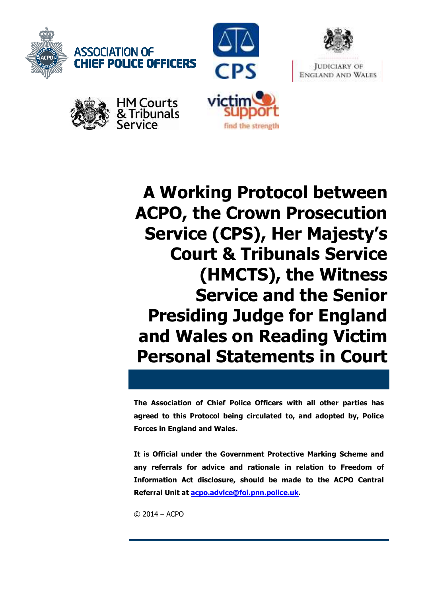











**A Working Protocol between ACPO, the Crown Prosecution Service (CPS), Her Majesty's Court & Tribunals Service (HMCTS), the Witness Service and the Senior Presiding Judge for England and Wales on Reading Victim Personal Statements in Court**

**The Association of Chief Police Officers with all other parties has agreed to this Protocol being circulated to, and adopted by, Police Forces in England and Wales.** 

**It is Official under the Government Protective Marking Scheme and any referrals for advice and rationale in relation to Freedom of Information Act disclosure, should be made to the ACPO Central Referral Unit at acpo.advice@foi.pnn.police.uk.** 

© 2014 – ACPO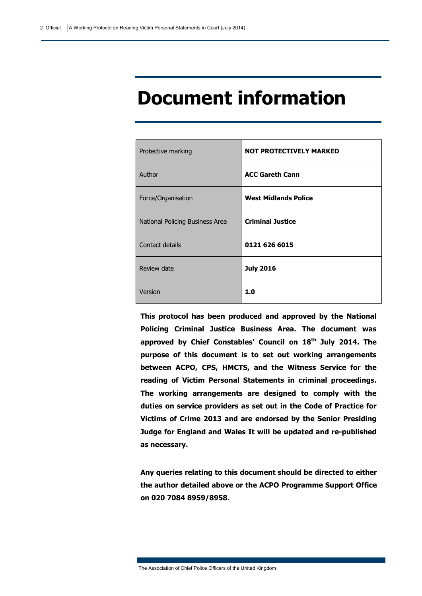## **Document information**

| Protective marking              | <b>NOT PROTECTIVELY MARKED</b> |
|---------------------------------|--------------------------------|
| Author                          | <b>ACC Gareth Cann</b>         |
| Force/Organisation              | <b>West Midlands Police</b>    |
| National Policing Business Area | <b>Criminal Justice</b>        |
| Contact details                 | 0121 626 6015                  |
| Review date                     | <b>July 2016</b>               |
| Version                         | 1.0                            |

**This protocol has been produced and approved by the National Policing Criminal Justice Business Area. The document was approved by Chief Constables' Council on 18th July 2014. The purpose of this document is to set out working arrangements between ACPO, CPS, HMCTS, and the Witness Service for the reading of Victim Personal Statements in criminal proceedings. The working arrangements are designed to comply with the duties on service providers as set out in the Code of Practice for Victims of Crime 2013 and are endorsed by the Senior Presiding Judge for England and Wales It will be updated and re-published as necessary.** 

**Any queries relating to this document should be directed to either the author detailed above or the ACPO Programme Support Office on 020 7084 8959/8958.** 

The Association of Chief Police Officers of the United Kingdom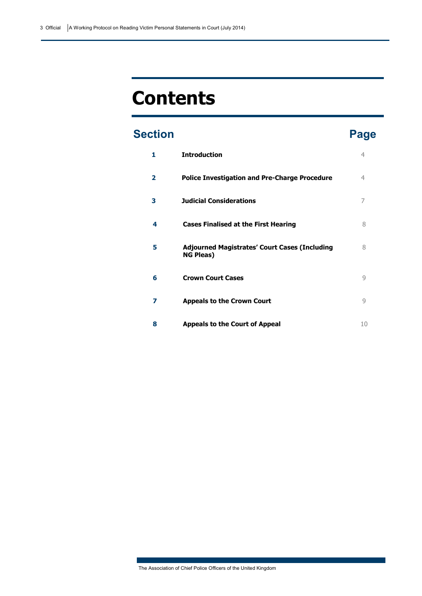# **Contents**

### **Section Page**

| 1            | <b>Introduction</b>                                                      | 4  |
|--------------|--------------------------------------------------------------------------|----|
| $\mathbf{2}$ | <b>Police Investigation and Pre-Charge Procedure</b>                     | 4  |
| 3            | <b>Judicial Considerations</b>                                           | 7  |
| 4            | <b>Cases Finalised at the First Hearing</b>                              | 8  |
| 5            | <b>Adjourned Magistrates' Court Cases (Including</b><br><b>NG Pleas)</b> | 8  |
| 6            | <b>Crown Court Cases</b>                                                 | 9  |
| 7            | <b>Appeals to the Crown Court</b>                                        | 9  |
| 8            | <b>Appeals to the Court of Appeal</b>                                    | 10 |

The Association of Chief Police Officers of the United Kingdom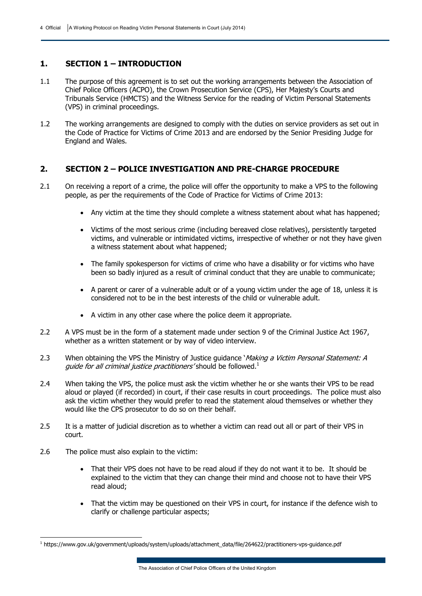#### **1. SECTION 1 – INTRODUCTION**

- 1.1 The purpose of this agreement is to set out the working arrangements between the Association of Chief Police Officers (ACPO), the Crown Prosecution Service (CPS), Her Majesty's Courts and Tribunals Service (HMCTS) and the Witness Service for the reading of Victim Personal Statements (VPS) in criminal proceedings.
- 1.2 The working arrangements are designed to comply with the duties on service providers as set out in the Code of Practice for Victims of Crime 2013 and are endorsed by the Senior Presiding Judge for England and Wales.

### **2. SECTION 2 – POLICE INVESTIGATION AND PRE-CHARGE PROCEDURE**

- 2.1 On receiving a report of a crime, the police will offer the opportunity to make a VPS to the following people, as per the requirements of the Code of Practice for Victims of Crime 2013:
	- Any victim at the time they should complete a witness statement about what has happened;
	- Victims of the most serious crime (including bereaved close relatives), persistently targeted victims, and vulnerable or intimidated victims, irrespective of whether or not they have given a witness statement about what happened;
	- The family spokesperson for victims of crime who have a disability or for victims who have been so badly injured as a result of criminal conduct that they are unable to communicate;
	- A parent or carer of a vulnerable adult or of a young victim under the age of 18, unless it is considered not to be in the best interests of the child or vulnerable adult.
	- A victim in any other case where the police deem it appropriate.
- 2.2 A VPS must be in the form of a statement made under section 9 of the Criminal Justice Act 1967, whether as a written statement or by way of video interview.
- 2.3 When obtaining the VPS the Ministry of Justice guidance *Making a Victim Personal Statement: A* guide for all criminal justice practitioners' should be followed. $<sup>1</sup>$ </sup>
- 2.4 When taking the VPS, the police must ask the victim whether he or she wants their VPS to be read aloud or played (if recorded) in court, if their case results in court proceedings. The police must also ask the victim whether they would prefer to read the statement aloud themselves or whether they would like the CPS prosecutor to do so on their behalf.
- 2.5 It is a matter of judicial discretion as to whether a victim can read out all or part of their VPS in court.
- 2.6 The police must also explain to the victim:

-

- That their VPS does not have to be read aloud if they do not want it to be. It should be explained to the victim that they can change their mind and choose not to have their VPS read aloud;
- That the victim may be questioned on their VPS in court, for instance if the defence wish to clarify or challenge particular aspects;

<sup>1</sup> https://www.gov.uk/government/uploads/system/uploads/attachment\_data/file/264622/practitioners-vps-guidance.pdf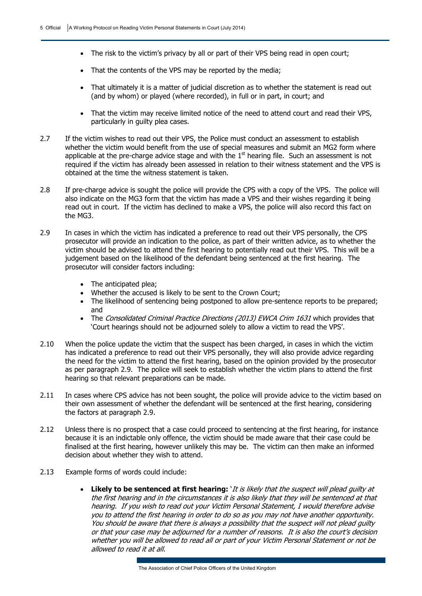- The risk to the victim's privacy by all or part of their VPS being read in open court;
- That the contents of the VPS may be reported by the media;
- That ultimately it is a matter of judicial discretion as to whether the statement is read out (and by whom) or played (where recorded), in full or in part, in court; and
- That the victim may receive limited notice of the need to attend court and read their VPS, particularly in guilty plea cases.
- 2.7 If the victim wishes to read out their VPS, the Police must conduct an assessment to establish whether the victim would benefit from the use of special measures and submit an MG2 form where applicable at the pre-charge advice stage and with the  $1<sup>st</sup>$  hearing file. Such an assessment is not required if the victim has already been assessed in relation to their witness statement and the VPS is obtained at the time the witness statement is taken.
- 2.8 If pre-charge advice is sought the police will provide the CPS with a copy of the VPS. The police will also indicate on the MG3 form that the victim has made a VPS and their wishes regarding it being read out in court. If the victim has declined to make a VPS, the police will also record this fact on the MG3.
- 2.9 In cases in which the victim has indicated a preference to read out their VPS personally, the CPS prosecutor will provide an indication to the police, as part of their written advice, as to whether the victim should be advised to attend the first hearing to potentially read out their VPS. This will be a judgement based on the likelihood of the defendant being sentenced at the first hearing. The prosecutor will consider factors including:
	- The anticipated plea:
	- Whether the accused is likely to be sent to the Crown Court;
	- The likelihood of sentencing being postponed to allow pre-sentence reports to be prepared; and
	- The Consolidated Criminal Practice Directions (2013) EWCA Crim 1631 which provides that 'Court hearings should not be adjourned solely to allow a victim to read the VPS'.
- 2.10 When the police update the victim that the suspect has been charged, in cases in which the victim has indicated a preference to read out their VPS personally, they will also provide advice regarding the need for the victim to attend the first hearing, based on the opinion provided by the prosecutor as per paragraph 2.9. The police will seek to establish whether the victim plans to attend the first hearing so that relevant preparations can be made.
- 2.11 In cases where CPS advice has not been sought, the police will provide advice to the victim based on their own assessment of whether the defendant will be sentenced at the first hearing, considering the factors at paragraph 2.9.
- 2.12 Unless there is no prospect that a case could proceed to sentencing at the first hearing, for instance because it is an indictable only offence, the victim should be made aware that their case could be finalised at the first hearing, however unlikely this may be. The victim can then make an informed decision about whether they wish to attend.
- 2.13 Example forms of words could include:
	- **Likely to be sentenced at first hearing:** 'It is likely that the suspect will plead guilty at the first hearing and in the circumstances it is also likely that they will be sentenced at that hearing. If you wish to read out your Victim Personal Statement, I would therefore advise you to attend the first hearing in order to do so as you may not have another opportunity. You should be aware that there is always a possibility that the suspect will not plead guilty or that your case may be adjourned for a number of reasons. It is also the court's decision whether you will be allowed to read all or part of your Victim Personal Statement or not be allowed to read it at all.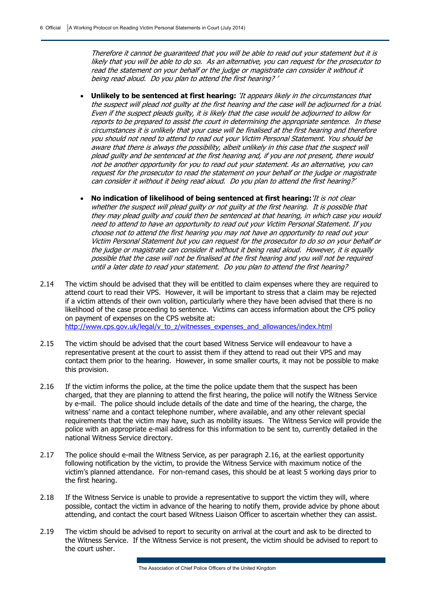Therefore it cannot be guaranteed that you will be able to read out your statement but it is likely that you will be able to do so. As an alternative, you can request for the prosecutor to read the statement on your behalf or the judge or magistrate can consider it without it being read aloud. Do you plan to attend the first hearing? '

- **Unlikely to be sentenced at first hearing:** 'It appears likely in the circumstances that the suspect will plead not guilty at the first hearing and the case will be adjourned for a trial. Even if the suspect pleads guilty, it is likely that the case would be adjourned to allow for reports to be prepared to assist the court in determining the appropriate sentence. In these circumstances it is unlikely that your case will be finalised at the first hearing and therefore you should not need to attend to read out your Victim Personal Statement. You should be aware that there is always the possibility, albeit unlikely in this case that the suspect will plead guilty and be sentenced at the first hearing and, if you are not present, there would not be another opportunity for you to read out your statement. As an alternative, you can request for the prosecutor to read the statement on your behalf or the judge or magistrate can consider it without it being read aloud. Do you plan to attend the first hearing?'
- **No indication of likelihood of being sentenced at first hearing:**'It is not clear whether the suspect will plead guilty or not guilty at the first hearing. It is possible that they may plead guilty and could then be sentenced at that hearing, in which case you would need to attend to have an opportunity to read out your Victim Personal Statement. If you choose not to attend the first hearing you may not have an opportunity to read out your Victim Personal Statement but you can request for the prosecutor to do so on your behalf or the judge or magistrate can consider it without it being read aloud. However, it is equally possible that the case will not be finalised at the first hearing and you will not be required until a later date to read your statement. Do you plan to attend the first hearing?
- 2.14 The victim should be advised that they will be entitled to claim expenses where they are required to attend court to read their VPS. However, it will be important to stress that a claim may be rejected if a victim attends of their own volition, particularly where they have been advised that there is no likelihood of the case proceeding to sentence. Victims can access information about the CPS policy on payment of expenses on the CPS website at: http://www.cps.gov.uk/legal/v\_to\_z/witnesses\_expenses\_and\_allowances/index.html
- 2.15 The victim should be advised that the court based Witness Service will endeavour to have a representative present at the court to assist them if they attend to read out their VPS and may contact them prior to the hearing. However, in some smaller courts, it may not be possible to make this provision.
- 2.16 If the victim informs the police, at the time the police update them that the suspect has been charged, that they are planning to attend the first hearing, the police will notify the Witness Service by e-mail. The police should include details of the date and time of the hearing, the charge, the witness' name and a contact telephone number, where available, and any other relevant special requirements that the victim may have, such as mobility issues. The Witness Service will provide the police with an appropriate e-mail address for this information to be sent to, currently detailed in the national Witness Service directory.
- 2.17 The police should e-mail the Witness Service, as per paragraph 2.16, at the earliest opportunity following notification by the victim, to provide the Witness Service with maximum notice of the victim's planned attendance. For non-remand cases, this should be at least 5 working days prior to the first hearing.
- 2.18 If the Witness Service is unable to provide a representative to support the victim they will, where possible, contact the victim in advance of the hearing to notify them, provide advice by phone about attending, and contact the court based Witness Liaison Officer to ascertain whether they can assist.
- 2.19 The victim should be advised to report to security on arrival at the court and ask to be directed to the Witness Service. If the Witness Service is not present, the victim should be advised to report to the court usher.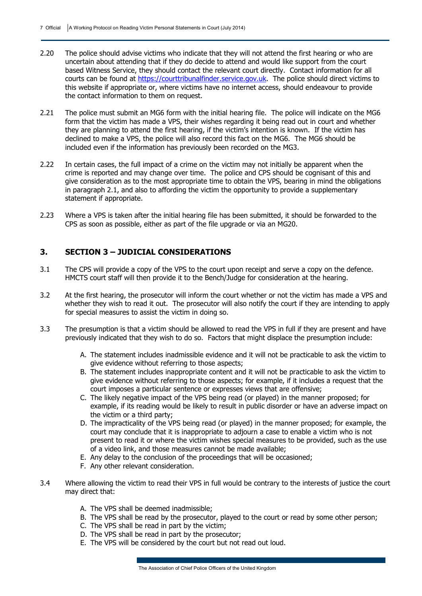- 2.20 The police should advise victims who indicate that they will not attend the first hearing or who are uncertain about attending that if they do decide to attend and would like support from the court based Witness Service, they should contact the relevant court directly. Contact information for all courts can be found at https://courttribunalfinder.service.gov.uk. The police should direct victims to this website if appropriate or, where victims have no internet access, should endeavour to provide the contact information to them on request.
- 2.21 The police must submit an MG6 form with the initial hearing file. The police will indicate on the MG6 form that the victim has made a VPS, their wishes regarding it being read out in court and whether they are planning to attend the first hearing, if the victim's intention is known. If the victim has declined to make a VPS, the police will also record this fact on the MG6. The MG6 should be included even if the information has previously been recorded on the MG3.
- 2.22 In certain cases, the full impact of a crime on the victim may not initially be apparent when the crime is reported and may change over time. The police and CPS should be cognisant of this and give consideration as to the most appropriate time to obtain the VPS, bearing in mind the obligations in paragraph 2.1, and also to affording the victim the opportunity to provide a supplementary statement if appropriate.
- 2.23 Where a VPS is taken after the initial hearing file has been submitted, it should be forwarded to the CPS as soon as possible, either as part of the file upgrade or via an MG20.

#### **3. SECTION 3 – JUDICIAL CONSIDERATIONS**

- 3.1 The CPS will provide a copy of the VPS to the court upon receipt and serve a copy on the defence. HMCTS court staff will then provide it to the Bench/Judge for consideration at the hearing.
- 3.2 At the first hearing, the prosecutor will inform the court whether or not the victim has made a VPS and whether they wish to read it out. The prosecutor will also notify the court if they are intending to apply for special measures to assist the victim in doing so.
- 3.3 The presumption is that a victim should be allowed to read the VPS in full if they are present and have previously indicated that they wish to do so. Factors that might displace the presumption include:
	- A. The statement includes inadmissible evidence and it will not be practicable to ask the victim to give evidence without referring to those aspects;
	- B. The statement includes inappropriate content and it will not be practicable to ask the victim to give evidence without referring to those aspects; for example, if it includes a request that the court imposes a particular sentence or expresses views that are offensive;
	- C. The likely negative impact of the VPS being read (or played) in the manner proposed; for example, if its reading would be likely to result in public disorder or have an adverse impact on the victim or a third party;
	- D. The impracticality of the VPS being read (or played) in the manner proposed; for example, the court may conclude that it is inappropriate to adjourn a case to enable a victim who is not present to read it or where the victim wishes special measures to be provided, such as the use of a video link, and those measures cannot be made available;
	- E. Any delay to the conclusion of the proceedings that will be occasioned;
	- F. Any other relevant consideration.
- 3.4 Where allowing the victim to read their VPS in full would be contrary to the interests of justice the court may direct that:
	- A. The VPS shall be deemed inadmissible;
	- B. The VPS shall be read by the prosecutor, played to the court or read by some other person;
	- C. The VPS shall be read in part by the victim;
	- D. The VPS shall be read in part by the prosecutor;
	- E. The VPS will be considered by the court but not read out loud.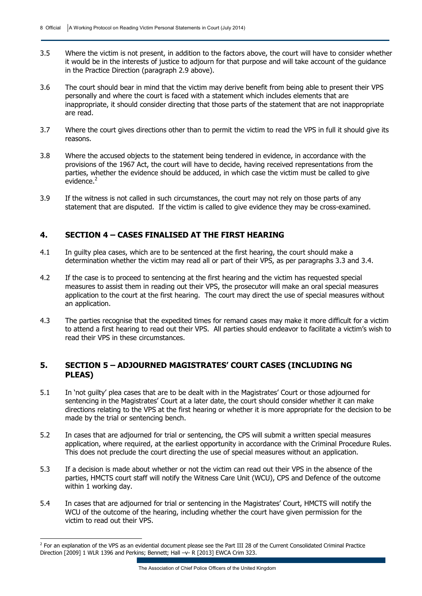- 3.5 Where the victim is not present, in addition to the factors above, the court will have to consider whether it would be in the interests of justice to adjourn for that purpose and will take account of the guidance in the Practice Direction (paragraph 2.9 above).
- 3.6 The court should bear in mind that the victim may derive benefit from being able to present their VPS personally and where the court is faced with a statement which includes elements that are inappropriate, it should consider directing that those parts of the statement that are not inappropriate are read.
- 3.7 Where the court gives directions other than to permit the victim to read the VPS in full it should give its reasons.
- 3.8 Where the accused objects to the statement being tendered in evidence, in accordance with the provisions of the 1967 Act, the court will have to decide, having received representations from the parties, whether the evidence should be adduced, in which case the victim must be called to give evidence.<sup>2</sup>
- 3.9 If the witness is not called in such circumstances, the court may not rely on those parts of any statement that are disputed. If the victim is called to give evidence they may be cross-examined.

#### **4. SECTION 4 – CASES FINALISED AT THE FIRST HEARING**

- 4.1 In guilty plea cases, which are to be sentenced at the first hearing, the court should make a determination whether the victim may read all or part of their VPS, as per paragraphs 3.3 and 3.4.
- 4.2 If the case is to proceed to sentencing at the first hearing and the victim has requested special measures to assist them in reading out their VPS, the prosecutor will make an oral special measures application to the court at the first hearing. The court may direct the use of special measures without an application.
- 4.3 The parties recognise that the expedited times for remand cases may make it more difficult for a victim to attend a first hearing to read out their VPS. All parties should endeavor to facilitate a victim's wish to read their VPS in these circumstances.

#### **5. SECTION 5 – ADJOURNED MAGISTRATES' COURT CASES (INCLUDING NG PLEAS)**

- 5.1 In 'not guilty' plea cases that are to be dealt with in the Magistrates' Court or those adjourned for sentencing in the Magistrates' Court at a later date, the court should consider whether it can make directions relating to the VPS at the first hearing or whether it is more appropriate for the decision to be made by the trial or sentencing bench.
- 5.2 In cases that are adjourned for trial or sentencing, the CPS will submit a written special measures application, where required, at the earliest opportunity in accordance with the Criminal Procedure Rules. This does not preclude the court directing the use of special measures without an application.
- 5.3 If a decision is made about whether or not the victim can read out their VPS in the absence of the parties, HMCTS court staff will notify the Witness Care Unit (WCU), CPS and Defence of the outcome within 1 working day.
- 5.4 In cases that are adjourned for trial or sentencing in the Magistrates' Court, HMCTS will notify the WCU of the outcome of the hearing, including whether the court have given permission for the victim to read out their VPS.

 2 For an explanation of the VPS as an evidential document please see the Part III 28 of the Current Consolidated Criminal Practice Direction [2009] 1 WLR 1396 and Perkins; Bennett; Hall -v- R [2013] EWCA Crim 323.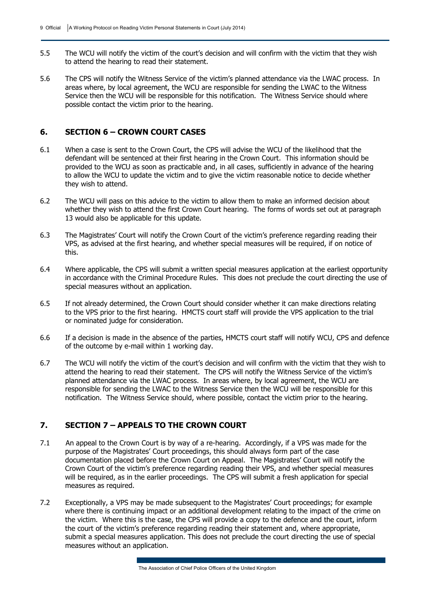- 5.5 The WCU will notify the victim of the court's decision and will confirm with the victim that they wish to attend the hearing to read their statement.
- 5.6 The CPS will notify the Witness Service of the victim's planned attendance via the LWAC process. In areas where, by local agreement, the WCU are responsible for sending the LWAC to the Witness Service then the WCU will be responsible for this notification. The Witness Service should where possible contact the victim prior to the hearing.

### **6. SECTION 6 – CROWN COURT CASES**

- 6.1 When a case is sent to the Crown Court, the CPS will advise the WCU of the likelihood that the defendant will be sentenced at their first hearing in the Crown Court. This information should be provided to the WCU as soon as practicable and, in all cases, sufficiently in advance of the hearing to allow the WCU to update the victim and to give the victim reasonable notice to decide whether they wish to attend.
- 6.2 The WCU will pass on this advice to the victim to allow them to make an informed decision about whether they wish to attend the first Crown Court hearing. The forms of words set out at paragraph 13 would also be applicable for this update.
- 6.3 The Magistrates' Court will notify the Crown Court of the victim's preference regarding reading their VPS, as advised at the first hearing, and whether special measures will be required, if on notice of this.
- 6.4 Where applicable, the CPS will submit a written special measures application at the earliest opportunity in accordance with the Criminal Procedure Rules. This does not preclude the court directing the use of special measures without an application.
- 6.5 If not already determined, the Crown Court should consider whether it can make directions relating to the VPS prior to the first hearing. HMCTS court staff will provide the VPS application to the trial or nominated judge for consideration.
- 6.6 If a decision is made in the absence of the parties, HMCTS court staff will notify WCU, CPS and defence of the outcome by e-mail within 1 working day.
- 6.7 The WCU will notify the victim of the court's decision and will confirm with the victim that they wish to attend the hearing to read their statement. The CPS will notify the Witness Service of the victim's planned attendance via the LWAC process. In areas where, by local agreement, the WCU are responsible for sending the LWAC to the Witness Service then the WCU will be responsible for this notification. The Witness Service should, where possible, contact the victim prior to the hearing.

#### **7. SECTION 7 – APPEALS TO THE CROWN COURT**

- 7.1 An appeal to the Crown Court is by way of a re-hearing. Accordingly, if a VPS was made for the purpose of the Magistrates' Court proceedings, this should always form part of the case documentation placed before the Crown Court on Appeal. The Magistrates' Court will notify the Crown Court of the victim's preference regarding reading their VPS, and whether special measures will be required, as in the earlier proceedings. The CPS will submit a fresh application for special measures as required.
- 7.2 Exceptionally, a VPS may be made subsequent to the Magistrates' Court proceedings; for example where there is continuing impact or an additional development relating to the impact of the crime on the victim. Where this is the case, the CPS will provide a copy to the defence and the court, inform the court of the victim's preference regarding reading their statement and, where appropriate, submit a special measures application. This does not preclude the court directing the use of special measures without an application.

The Association of Chief Police Officers of the United Kingdom